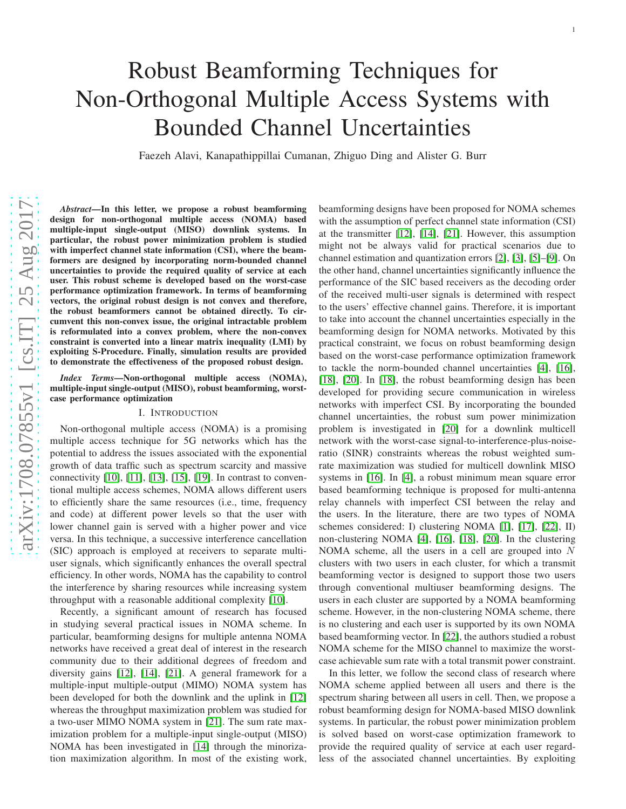# Robust Beamforming Techniques for Non-Orthogonal Multiple Access Systems with Bounded Channel Uncertainties

Faezeh Alavi, Kanapathippillai Cumanan, Zhiguo Ding and Alister G. Burr

*Abstract*—In this letter, we propose a robust beamforming design for non-orthogonal multiple access (NOMA) based multiple-input single-output (MISO) downlink systems. In particular, the robust power minimization problem is studied with imperfect channel state information (CSI), where the beamformers are designed by incorporating norm-bounded channel uncertainties to provide the required quality of service at each user. This robust scheme is developed based on the worst-cas e performance optimization framework. In terms of beamforming vectors, the original robust design is not convex and therefore, the robust beamformers cannot be obtained directly. To circumvent this non-convex issue, the original intractable problem is reformulated into a convex problem, where the non-convex constraint is converted into a linear matrix inequality (LMI) by exploiting S-Procedure. Finally, simulation results are provided to demonstrate the effectiveness of the proposed robust design.

*Index Terms*—Non-orthogonal multiple access (NOMA), multiple-input single-output (MISO), robust beamforming, worstcase performance optimization

#### I. INTRODUCTION

Non-orthogonal multiple access (NOMA) is a promising multiple access technique for 5G networks which has the potential to address the issues associated with the exponential growth of data traffic such as spectrum scarcity and massive connectivity [\[10\]](#page-4-0), [\[11\]](#page-4-1), [\[13\]](#page-4-2), [\[15\]](#page-4-3), [\[19\]](#page-4-4). In contrast to conventional multiple access schemes, NOMA allows different users to efficiently share the same resources (i.e., time, frequency and code) at different power levels so that the user with lower channel gain is served with a higher power and vice versa. In this technique, a successive interference cancellation (SIC) approach is employed at receivers to separate multiuser signals, which significantly enhances the overall spectral efficiency. In other words, NOMA has the capability to contro l the interference by sharing resources while increasing system throughput with a reasonable additional complexity [\[10\]](#page-4-0).

Recently, a significant amount of research has focused in studying several practical issues in NOMA scheme. In particular, beamforming designs for multiple antenna NOMA networks have received a great deal of interest in the research community due to their additional degrees of freedom and diversity gains [\[12\]](#page-4-5), [\[14\]](#page-4-6), [\[21\]](#page-4-7). A general framework for a multiple-input multiple-output (MIMO) NOMA system has been developed for both the downlink and the uplink in [\[12\]](#page-4-5) whereas the throughput maximization problem was studied fo r a two-user MIMO NOMA system in [\[21\]](#page-4-7). The sum rate maximization problem for a multiple-input single-output (MISO) NOMA has been investigated in [\[14\]](#page-4-6) through the minorization maximization algorithm. In most of the existing work,

beamforming designs have been proposed for NOMA schemes with the assumption of perfect channel state information (CSI) at the transmitter [\[12\]](#page-4-5), [\[14\]](#page-4-6), [\[21\]](#page-4-7). However, this assumption might not be always valid for practical scenarios due to channel estimation and quantization errors [\[2\]](#page-4-8), [\[3\]](#page-4-9), [\[5\]](#page-4-10)–[\[9\]](#page-4-11). On the other hand, channel uncertainties significantly influence the performance of the SIC based receivers as the decoding order of the received multi-user signals is determined with respect to the users' effective channel gains. Therefore, it is important to take into account the channel uncertainties especially in the beamforming design for NOMA networks. Motivated by this practical constraint, we focus on robust beamforming desig n based on the worst-case performance optimization framewor k to tackle the norm-bounded channel uncertainties [\[4\]](#page-4-12), [\[16\]](#page-4-13) , [\[18\]](#page-4-14), [\[20\]](#page-4-15). In [\[18\]](#page-4-14), the robust beamforming design has been developed for providing secure communication in wireless networks with imperfect CSI. By incorporating the bounded channel uncertainties, the robust sum power minimization problem is investigated in [\[20\]](#page-4-15) for a downlink multicell network with the worst-case signal-to-interference-plus-noiseratio (SINR) constraints whereas the robust weighted sumrate maximization was studied for multicell downlink MISO systems in [\[16\]](#page-4-13). In [\[4\]](#page-4-12), a robust minimum mean square error based beamforming technique is proposed for multi-antenna relay channels with imperfect CSI between the relay and the users. In the literature, there are two types of NOMA schemes considered: I) clustering NOMA [\[1\]](#page-3-0), [\[17\]](#page-4-16), [\[22\]](#page-4-17), II) non-clustering NOMA [\[4\]](#page-4-12), [\[16\]](#page-4-13), [\[18\]](#page-4-14), [\[20\]](#page-4-15). In the clusterin g NOMA scheme, all the users in a cell are grouped into N clusters with two users in each cluster, for which a transmit beamforming vector is designed to support those two users through conventional multiuser beamforming designs. The users in each cluster are supported by a NOMA beamforming scheme. However, in the non-clustering NOMA scheme, there is no clustering and each user is supported by its own NOMA based beamforming vector. In [\[22\]](#page-4-17), the authors studied a robust NOMA scheme for the MISO channel to maximize the worstcase achievable sum rate with a total transmit power constraint.

In this letter, we follow the second class of research where NOMA scheme applied between all users and there is the spectrum sharing between all users in cell. Then, we propose a robust beamforming design for NOMA-based MISO downlink systems. In particular, the robust power minimization problem is solved based on worst-case optimization framework to provide the required quality of service at each user regardless of the associated channel uncertainties. By exploiting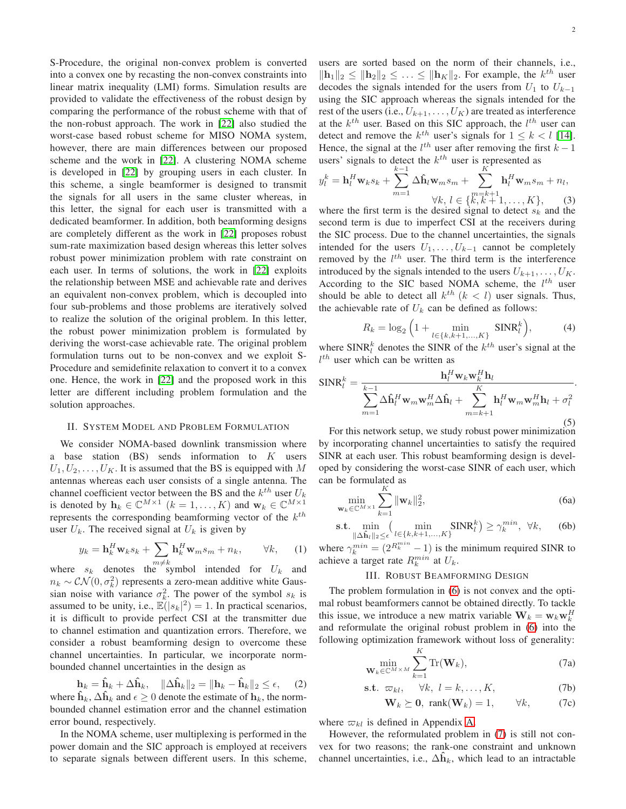S-Procedure, the original non-convex problem is converted into a convex one by recasting the non-convex constraints into linear matrix inequality (LMI) forms. Simulation results are provided to validate the effectiveness of the robust design by comparing the performance of the robust scheme with that of the non-robust approach. The work in [\[22\]](#page-4-17) also studied the worst-case based robust scheme for MISO NOMA system, however, there are main differences between our proposed scheme and the work in [\[22\]](#page-4-17). A clustering NOMA scheme is developed in [\[22\]](#page-4-17) by grouping users in each cluster. In this scheme, a single beamformer is designed to transmit the signals for all users in the same cluster whereas, in this letter, the signal for each user is transmitted with a dedicated beamformer. In addition, both beamforming designs are completely different as the work in [\[22\]](#page-4-17) proposes robust sum-rate maximization based design whereas this letter solves robust power minimization problem with rate constraint on each user. In terms of solutions, the work in [\[22\]](#page-4-17) exploits the relationship between MSE and achievable rate and derives an equivalent non-convex problem, which is decoupled into four sub-problems and those problems are iteratively solved to realize the solution of the original problem. In this letter, the robust power minimization problem is formulated by deriving the worst-case achievable rate. The original problem formulation turns out to be non-convex and we exploit S-Procedure and semidefinite relaxation to convert it to a convex one. Hence, the work in [\[22\]](#page-4-17) and the proposed work in this letter are different including problem formulation and the solution approaches.

#### II. SYSTEM MODEL AND PROBLEM FORMULATION

We consider NOMA-based downlink transmission where a base station  $(BS)$  sends information to  $K$  users  $U_1, U_2, \ldots, U_K$ . It is assumed that the BS is equipped with M antennas whereas each user consists of a single antenna. The channel coefficient vector between the BS and the  $k^{th}$  user  $U_k$ is denoted by  $\mathbf{h}_k \in \mathbb{C}^{M \times 1}$   $(k = 1, ..., K)$  and  $\mathbf{w}_k \in \mathbb{C}^{M \times 1}$ represents the corresponding beamforming vector of the  $k^{th}$ user  $U_k$ . The received signal at  $U_k$  is given by

$$
y_k = \mathbf{h}_k^H \mathbf{w}_k s_k + \sum_{m \neq k} \mathbf{h}_k^H \mathbf{w}_m s_m + n_k, \qquad \forall k,
$$
 (1)

where  $s_k$  denotes the symbol intended for  $U_k$  and  $n_k \sim \mathcal{CN}(0, \sigma_k^2)$  represents a zero-mean additive white Gaussian noise with variance  $\sigma_k^2$ . The power of the symbol  $s_k$  is assumed to be unity, i.e.,  $\mathbb{E}(|s_k|^2) = 1$ . In practical scenarios, it is difficult to provide perfect CSI at the transmitter due to channel estimation and quantization errors. Therefore, we consider a robust beamforming design to overcome these channel uncertainties. In particular, we incorporate normbounded channel uncertainties in the design as

$$
\mathbf{h}_k = \hat{\mathbf{h}}_k + \Delta \hat{\mathbf{h}}_k, \quad \|\Delta \hat{\mathbf{h}}_k\|_2 = \|\mathbf{h}_k - \hat{\mathbf{h}}_k\|_2 \le \epsilon, \quad (2)
$$

where  $h_k$ ,  $\Delta h_k$  and  $\epsilon \geq 0$  denote the estimate of  $h_k$ , the normbounded channel estimation error and the channel estimation error bound, respectively.

In the NOMA scheme, user multiplexing is performed in the power domain and the SIC approach is employed at receivers to separate signals between different users. In this scheme, users are sorted based on the norm of their channels, i.e.,  $\|\mathbf{h}_1\|_2 \leq \|\mathbf{h}_2\|_2 \leq \ldots \leq \|\mathbf{h}_K\|_2$ . For example, the  $k^{th}$  user decodes the signals intended for the users from  $U_1$  to  $U_{k-1}$ using the SIC approach whereas the signals intended for the rest of the users (i.e.,  $U_{k+1}, \ldots, U_K$ ) are treated as interference at the  $k^{th}$  user. Based on this SIC approach, the  $l^{th}$  user can detect and remove the  $k^{th}$  user's signals for  $1 \leq k < l$  [\[14\]](#page-4-6). Hence, the signal at the  $l^{th}$  user after removing the first  $k-1$ users' signals to detect the  $k^{th}$  user is represented as

$$
y_l^k = \mathbf{h}_l^H \mathbf{w}_k s_k + \sum_{m=1}^{k-1} \Delta \hat{\mathbf{h}}_l \mathbf{w}_m s_m + \sum_{k=1}^{K} \mathbf{h}_l^H \mathbf{w}_m s_m + n_l,
$$
  

$$
\forall k, l \in \{k, k+1, ..., K\}, \qquad (3)
$$

where the first term is the desired signal to detect  $s_k$  and the second term is due to imperfect CSI at the receivers during the SIC process. Due to the channel uncertainties, the signals intended for the users  $U_1, \ldots, U_{k-1}$  cannot be completely removed by the  $l^{th}$  user. The third term is the interference introduced by the signals intended to the users  $U_{k+1}, \ldots, U_K$ . According to the SIC based NOMA scheme, the  $l^{th}$  user should be able to detect all  $k^{th}$  ( $k < l$ ) user signals. Thus, the achievable rate of  $U_k$  can be defined as follows:

$$
R_k = \log_2 \left( 1 + \min_{l \in \{k, k+1, ..., K\}} \text{SINR}_l^k \right),\tag{4}
$$

where  $SINR_i^k$  denotes the SINR of the  $k^{th}$  user's signal at the  $l^{th}$  user which can be written as

$$
SINR_l^k = \frac{\mathbf{h}_l^H \mathbf{w}_k \mathbf{w}_k^H \mathbf{h}_l}{\sum_{m=1}^{k-1} \Delta \hat{\mathbf{h}}_l^H \mathbf{w}_m \mathbf{w}_m^H \Delta \hat{\mathbf{h}}_l + \sum_{m=k+1}^{K} \mathbf{h}_l^H \mathbf{w}_m \mathbf{w}_m^H \mathbf{h}_l + \sigma_l^2}
$$
\n(5)

<span id="page-1-0"></span>For this network setup, we study robust power minimization by incorporating channel uncertainties to satisfy the required SINR at each user. This robust beamforming design is developed by considering the worst-case SINR of each user, which can be formulated as

$$
\min_{\mathbf{w}_k \in \mathbb{C}^{M \times 1}} \sum_{k=1}^{K} \|\mathbf{w}_k\|_2^2, \tag{6a}
$$

$$
\text{s.t.} \min_{\|\Delta \hat{\mathbf{h}}_l\|_2 \le \epsilon} \min_{l \in \{k, k+1, \dots, K\}} \text{SINR}_l^k) \ge \gamma_k^{min}, \ \forall k, \tag{6b}
$$

where  $\gamma_k^{min} = (2^{R_k^{min}} - 1)$  is the minimum required SINR to achieve a target rate  $R_k^{min}$  at  $U_k$ .

### III. ROBUST BEAMFORMING DESIGN

<span id="page-1-1"></span>The problem formulation in [\(6\)](#page-1-0) is not convex and the optimal robust beamformers cannot be obtained directly. To tackle this issue, we introduce a new matrix variable  $\mathbf{W}_k = \mathbf{w}_k \mathbf{w}_k^H$ and reformulate the original robust problem in [\(6\)](#page-1-0) into the following optimization framework without loss of generality:

$$
\min_{\mathbf{W}_k \in \mathbb{C}^{M \times M}} \sum_{k=1}^{K} \text{Tr}(\mathbf{W}_k),\tag{7a}
$$

$$
\text{s.t. } \varpi_{kl}, \quad \forall k, \ l = k, \dots, K,
$$
 (7b)

<span id="page-1-4"></span><span id="page-1-2"></span>
$$
\mathbf{W}_k \succeq \mathbf{0}, \text{ rank}(\mathbf{W}_k) = 1, \qquad \forall k, \tag{7c}
$$

where  $\varpi_{kl}$  is defined in Appendix [A.](#page-3-1)

However, the reformulated problem in [\(7\)](#page-1-1) is still not convex for two reasons; the rank-one constraint and unknown channel uncertainties, i.e.,  $\Delta \hat{h}_k$ , which lead to an intractable

<span id="page-1-3"></span>.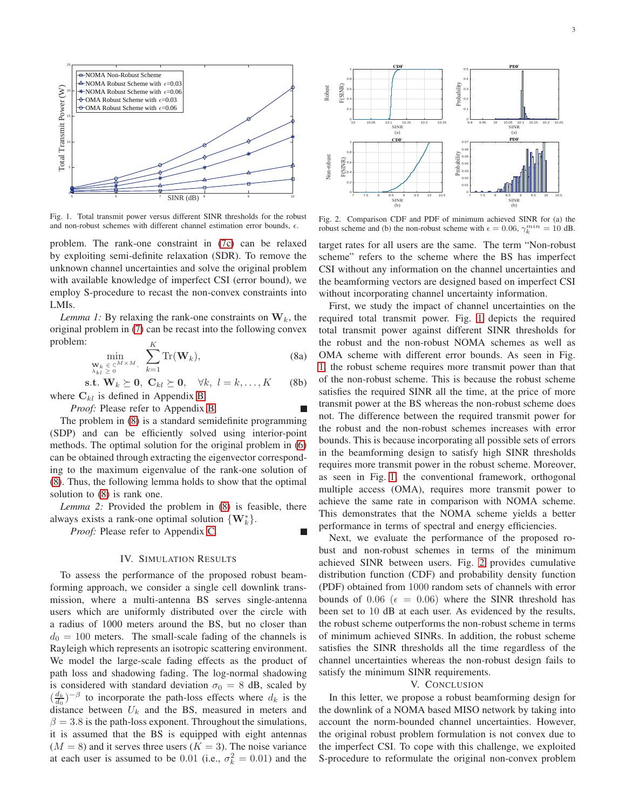

<span id="page-2-1"></span>Fig. 1. Total transmit power versus different SINR thresholds for the robust and non-robust schemes with different channel estimation error bounds,  $\epsilon$ .

problem. The rank-one constraint in [\(7c\)](#page-1-2) can be relaxed by exploiting semi-definite relaxation (SDR). To remove the unknown channel uncertainties and solve the original problem with available knowledge of imperfect CSI (error bound), we employ S-procedure to recast the non-convex constraints into LMIs.

<span id="page-2-0"></span>*Lemma 1:* By relaxing the rank-one constraints on  $W_k$ , the original problem in [\(7\)](#page-1-1) can be recast into the following convex problem: K

$$
\min_{\substack{\mathbf{W}_k \in \mathbb{C}^{M \times M}, \\ \lambda_{kl} \ge 0}} \sum_{k=1}^N \text{Tr}(\mathbf{W}_k),\tag{8a}
$$

s.t.  $\mathbf{W}_k \succeq \mathbf{0}, \ \mathbf{C}_{kl} \succeq \mathbf{0}, \ \ \forall k, \ l = k, \ldots, K$  (8b) where  $C_{kl}$  is defined in Appendix [B.](#page-3-2)

*Proof:* Please refer to Appendix [B.](#page-3-2)

The problem in [\(8\)](#page-2-0) is a standard semidefinite programming (SDP) and can be efficiently solved using interior-point methods. The optimal solution for the original problem in [\(6\)](#page-1-0) can be obtained through extracting the eigenvector corresponding to the maximum eigenvalue of the rank-one solution of [\(8\)](#page-2-0). Thus, the following lemma holds to show that the optimal solution to [\(8\)](#page-2-0) is rank one.

*Lemma 2:* Provided the problem in [\(8\)](#page-2-0) is feasible, there always exists a rank-one optimal solution  $\{W_k^*\}.$ 

*Proof:* Please refer to Appendix [C.](#page-3-3)

#### IV. SIMULATION RESULTS

To assess the performance of the proposed robust beamforming approach, we consider a single cell downlink transmission, where a multi-antenna BS serves single-antenna users which are uniformly distributed over the circle with a radius of 1000 meters around the BS, but no closer than  $d_0 = 100$  meters. The small-scale fading of the channels is Rayleigh which represents an isotropic scattering environment. We model the large-scale fading effects as the product of path loss and shadowing fading. The log-normal shadowing is considered with standard deviation  $\sigma_0 = 8$  dB, scaled by  $\left(\frac{d_k}{d_0}\right)^{-\beta}$  to incorporate the path-loss effects where  $d_k$  is the distance between  $U_k$  and the BS, measured in meters and  $\beta = 3.8$  is the path-loss exponent. Throughout the simulations, it is assumed that the BS is equipped with eight antennas  $(M = 8)$  and it serves three users  $(K = 3)$ . The noise variance at each user is assumed to be 0.01 (i.e.,  $\sigma_k^2 = 0.01$ ) and the



<span id="page-2-2"></span>Fig. 2. Comparison CDF and PDF of minimum achieved SINR for (a) the robust scheme and (b) the non-robust scheme with  $\epsilon = 0.06$ ,  $\gamma_k^{min} = 10$  dB.

target rates for all users are the same. The term "Non-robust scheme" refers to the scheme where the BS has imperfect CSI without any information on the channel uncertainties and the beamforming vectors are designed based on imperfect CSI without incorporating channel uncertainty information.

<span id="page-2-3"></span>First, we study the impact of channel uncertainties on the required total transmit power. Fig. [1](#page-2-1) depicts the required total transmit power against different SINR thresholds for the robust and the non-robust NOMA schemes as well as OMA scheme with different error bounds. As seen in Fig. [1,](#page-2-1) the robust scheme requires more transmit power than that of the non-robust scheme. This is because the robust scheme satisfies the required SINR all the time, at the price of more transmit power at the BS whereas the non-robust scheme does not. The difference between the required transmit power for the robust and the non-robust schemes increases with error bounds. This is because incorporating all possible sets of errors in the beamforming design to satisfy high SINR thresholds requires more transmit power in the robust scheme. Moreover, as seen in Fig. [1,](#page-2-1) the conventional framework, orthogonal multiple access (OMA), requires more transmit power to achieve the same rate in comparison with NOMA scheme. This demonstrates that the NOMA scheme yields a better performance in terms of spectral and energy efficiencies.

Next, we evaluate the performance of the proposed robust and non-robust schemes in terms of the minimum achieved SINR between users. Fig. [2](#page-2-2) provides cumulative distribution function (CDF) and probability density function (PDF) obtained from 1000 random sets of channels with error bounds of 0.06 ( $\epsilon = 0.06$ ) where the SINR threshold has been set to 10 dB at each user. As evidenced by the results, the robust scheme outperforms the non-robust scheme in terms of minimum achieved SINRs. In addition, the robust scheme satisfies the SINR thresholds all the time regardless of the channel uncertainties whereas the non-robust design fails to satisfy the minimum SINR requirements.

#### V. CONCLUSION

In this letter, we propose a robust beamforming design for the downlink of a NOMA based MISO network by taking into account the norm-bounded channel uncertainties. However, the original robust problem formulation is not convex due to the imperfect CSI. To cope with this challenge, we exploited S-procedure to reformulate the original non-convex problem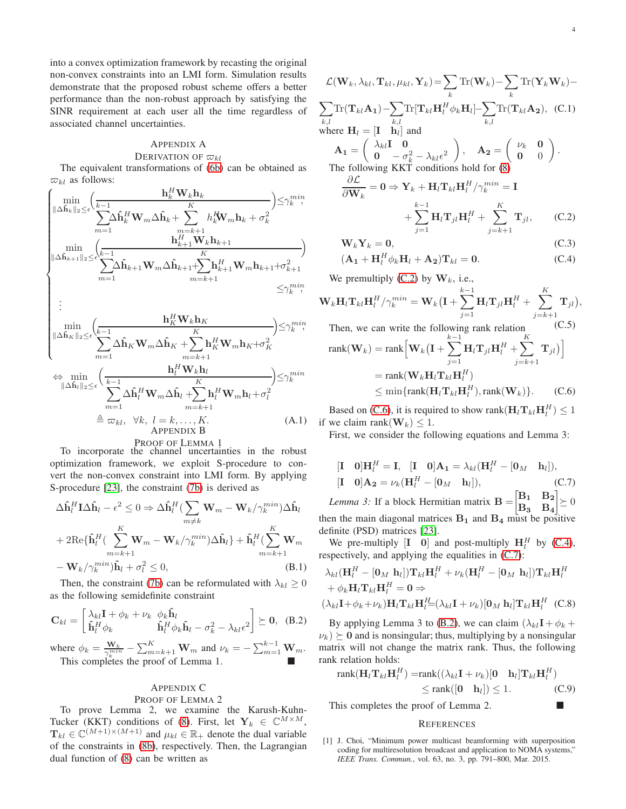into a convex optimization framework by recasting the original non-convex constraints into an LMI form. Simulation results demonstrate that the proposed robust scheme offers a better performance than the non-robust approach by satisfying the SINR requirement at each user all the time regardless of associated channel uncertainties.

#### <span id="page-3-1"></span>APPENDIX A DERIVATION OF  $\varpi_{kl}$

The equivalent transformations of [\(6b\)](#page-1-3) can be obtained as  $\varpi_{kl}$  as follows:

$$
\begin{cases}\n\min_{\|\Delta\hat{\mathbf{h}}_{k}\|_{2} \leq \epsilon} \left( \frac{\mathbf{h}_{k}^{H} \mathbf{W}_{k} \mathbf{h}_{k}}{\sum_{m=1}^{M} \Delta\hat{\mathbf{h}}_{k}^{H} \mathbf{W}_{m} \Delta\hat{\mathbf{h}}_{k} + \sum_{m=k+1}^{K} h_{k}^{H} \mathbf{W}_{m} \mathbf{h}_{k} + \sigma_{k}^{2}} \right) \leq \gamma_{k}^{min}, \\
\min_{\|\Delta\hat{\mathbf{h}}_{k+1}\|_{2} \leq \epsilon} \left( \frac{\mathbf{h}_{k+1}^{H} \mathbf{W}_{k} \mathbf{h}_{k+1}}{\sum_{m=1}^{M} \Delta\hat{\mathbf{h}}_{k+1} \mathbf{W}_{m} \Delta\hat{\mathbf{h}}_{k+1} + \sum_{m=k+1}^{K} \mathbf{h}_{k+1}^{H} \mathbf{W}_{m} \mathbf{h}_{k+1} + \sigma_{k+1}^{2}} \right) \\
\vdots \\
\min_{\|\Delta\hat{\mathbf{h}}_{K}\|_{2} \leq \epsilon} \left( \frac{\mathbf{h}_{K}^{H} \mathbf{W}_{k} \mathbf{h}_{K}}{\sum_{m=1}^{M} \Delta\hat{\mathbf{h}}_{K} \mathbf{W}_{m} \Delta\hat{\mathbf{h}}_{K} + \sum_{m=k+1}^{K} \mathbf{h}_{K}^{H} \mathbf{W}_{m} \mathbf{h}_{K} + \sigma_{K}^{2}} \right) \leq \gamma_{k}^{min}, \\
\Leftrightarrow \min_{\|\Delta\hat{\mathbf{h}}_{l}\|_{2} \leq \epsilon} \left( \frac{\mathbf{h}_{l}^{H} \mathbf{W}_{k} \mathbf{h}_{l}}{\sum_{m=1}^{K} \Delta\hat{\mathbf{h}}_{l}^{H} \mathbf{W}_{m} \Delta\hat{\mathbf{h}}_{l} + \sum_{m=k+1}^{K} \mathbf{h}_{l}^{H} \mathbf{W}_{m} \mathbf{h}_{l} + \sigma_{l}^{2}} \right) \leq \gamma_{k}^{min}, \\
\Leftrightarrow \min_{m=1} \sum_{m=1}^{M} \Delta\hat{\mathbf{h}}_{l}^{H} \mathbf{W}_{m} \Delta\hat{\mathbf{h}}_{l} + \sum_{m=k+1}^{K} \mathbf
$$

<span id="page-3-2"></span>PROOF OF LEMMA 1

To incorporate the channel uncertainties in the robust optimization framework, we exploit S-procedure to convert the non-convex constraint into LMI form. By applying S-procedure [\[23\]](#page-4-18), the constraint [\(7b\)](#page-1-4) is derived as

$$
\Delta \hat{\mathbf{h}}_l^H \mathbf{I} \Delta \hat{\mathbf{h}}_l - \epsilon^2 \leq 0 \Rightarrow \Delta \hat{\mathbf{h}}_l^H (\sum_{m \neq k} \mathbf{W}_m - \mathbf{W}_k / \gamma_k^{min}) \Delta \hat{\mathbf{h}}_l
$$
  
+ 2Re{\hat{\mathbf{h}}\_l^H (\sum\_{m = k+1}^K \mathbf{W}\_m - \mathbf{W}\_k / \gamma\_k^{min}) \Delta \hat{\mathbf{h}}\_l} + \hat{\mathbf{h}}\_l^H (\sum\_{m = k+1}^K \mathbf{W}\_m  
- \mathbf{W}\_k / \gamma\_k^{min}) \hat{\mathbf{h}}\_l + \sigma\_l^2 \leq 0, \tag{B.1}

Then, the constraint [\(7b\)](#page-1-4) can be reformulated with  $\lambda_{kl} \geq 0$ as the following semidefinite constraint

$$
\mathbf{C}_{kl} = \begin{bmatrix} \lambda_{kl}\mathbf{I} + \phi_k + \nu_k & \phi_k\hat{\mathbf{h}}_l \\ \hat{\mathbf{h}}_l^H \phi_k & \hat{\mathbf{h}}_l^H \phi_k\hat{\mathbf{h}}_l - \sigma_k^2 - \lambda_{kl}\epsilon^2 \end{bmatrix} \succeq \mathbf{0}, \quad (B.2)
$$

where  $\phi_k = \frac{\mathbf{W}_k}{\gamma_k^{min}} - \sum_{m=k+1}^K \mathbf{W}_m$  and  $\nu_k = -\sum_{m=1}^{k-1} \mathbf{W}_m$ . This completes the proof of Lemma 1.

# <span id="page-3-3"></span>APPENDIX C

# PROOF OF LEMMA 2

To prove Lemma 2, we examine the Karush-Kuhn-Tucker (KKT) conditions of [\(8\)](#page-2-0). First, let  $\mathbf{Y}_k \in \mathbb{C}^{M \times M}$ ,  $\mathbf{T}_{kl} \in \mathbb{C}^{(M+1)\times(M+1)}$  and  $\mu_{kl} \in \mathbb{R}_+$  denote the dual variable of the constraints in [\(8b\)](#page-2-3), respectively. Then, the Lagrangian dual function of [\(8\)](#page-2-0) can be written as

$$
\mathcal{L}(\mathbf{W}_k, \lambda_{kl}, \mathbf{T}_{kl}, \mu_{kl}, \mathbf{Y}_k) = \sum_k \text{Tr}(\mathbf{W}_k) - \sum_k \text{Tr}(\mathbf{Y}_k \mathbf{W}_k) -
$$
\n
$$
\sum_{k,l} \text{Tr}(\mathbf{T}_{kl} \mathbf{A}_1) - \sum_{k,l} \text{Tr}[\mathbf{T}_{kl} \mathbf{H}_l^H \phi_k \mathbf{H}_l] - \sum_{k,l} \text{Tr}(\mathbf{T}_{kl} \mathbf{A}_2), \quad (C.1)
$$
\nwhere  $\mathbf{H}_l = [\mathbf{I} \quad \mathbf{h}_l]$  and\n
$$
\mathbf{A}_1 = \begin{pmatrix} \lambda_{kl} \mathbf{I} & \mathbf{0} \\ \mathbf{0} & -\sigma_k^2 - \lambda_{kl} \epsilon^2 \\ \mathbf{0} & -\alpha_k^2 \end{pmatrix}, \quad \mathbf{A}_2 = \begin{pmatrix} \nu_k & \mathbf{0} \\ \mathbf{0} & 0 \end{pmatrix}.
$$
\nThe following KKT conditions hold for (8)\n
$$
\frac{\partial \mathcal{L}}{\partial \mathbf{W}_k} = \mathbf{0} \Rightarrow \mathbf{Y}_k + \mathbf{H}_l \mathbf{T}_{kl} \mathbf{H}_l^H / \gamma_k^{min} = \mathbf{I}
$$
\n
$$
+ \sum_{j=1}^{k-1} \mathbf{H}_l \mathbf{T}_{jl} \mathbf{H}_l^H + \sum_{j=k+1}^{K} \mathbf{T}_{jl}, \qquad (C.2)
$$

<span id="page-3-6"></span><span id="page-3-4"></span>
$$
\mathbf{W}_k \mathbf{Y}_k = \mathbf{0},\tag{C.3}
$$

$$
(\mathbf{A}_1 + \mathbf{H}_l^H \phi_k \mathbf{H}_l + \mathbf{A}_2) \mathbf{T}_{kl} = \mathbf{0}.
$$
 (C.4)

We premultiply [\(C.2\)](#page-3-4) by  $W_k$ , i.e.,

$$
\mathbf{W}_k \mathbf{H}_l \mathbf{T}_{kl} \mathbf{H}_l^H / \gamma_k^{min} = \mathbf{W}_k \left( \mathbf{I} + \sum_{j=1}^{k-1} \mathbf{H}_l \mathbf{T}_{jl} \mathbf{H}_l^H + \sum_{j=k+1}^K \mathbf{T}_{jl} \right),
$$
  
Then we can write the following rank relation (C.5)

rank(
$$
\mathbf{W}_k
$$
) = rank $\left[\mathbf{W}_k (\mathbf{I} + \sum_{j=1}^{k-1} \mathbf{H}_l \mathbf{T}_{jl} \mathbf{H}_l^H + \sum_{j=k+1}^{K} \mathbf{T}_{jl})\right]$   
\n= rank( $\mathbf{W}_k \mathbf{H}_l \mathbf{T}_{kl} \mathbf{H}_l^H$ )  
\n $\leq \min\{\text{rank}(\mathbf{H}_l \mathbf{T}_{kl} \mathbf{H}_l^H), \text{rank}(\mathbf{W}_k)\}. \quad (C.6)$ 

Based on [\(C.6\)](#page-3-5), it is required to show rank $(\mathbf{H}_{l} \mathbf{T}_{kl} \mathbf{H}_{l}^{H}) \leq 1$ if we claim rank( $W_k$ ) < 1.

<span id="page-3-5"></span>First, we consider the following equations and Lemma 3:

<span id="page-3-7"></span>
$$
\begin{aligned}\n\begin{bmatrix}\n\mathbf{I} & \mathbf{0}\n\end{bmatrix} \mathbf{H}_l^H &= \mathbf{I}, \quad \begin{bmatrix}\n\mathbf{I} & \mathbf{0}\n\end{bmatrix} \mathbf{A}_1 = \lambda_{kl} (\mathbf{H}_l^H - [\mathbf{0}_M \quad \mathbf{h}_l]), \\
\begin{bmatrix}\n\mathbf{I} & \mathbf{0}\n\end{bmatrix} \mathbf{A}_2 &= \nu_k (\mathbf{H}_l^H - [\mathbf{0}_M \quad \mathbf{h}_l]),\n\end{aligned}\n\quad\n\begin{aligned}\n&\text{(C.7)} \\
&\text{(D) } \mathbf{A}_2 = \mathbf{0}_k \mathbf{H}_l^H - [\mathbf{0}_M \quad \mathbf{h}_l]\n\end{aligned}
$$

*Lemma 3:* If a block Hermitian matrix  $B = \begin{bmatrix} B_1 & B_2 \\ D & D \end{bmatrix}$  $B_3$   $B_4$  $\leq 0$ then the main diagonal matrices  $B_1$  and  $B_4$  must be positive definite (PSD) matrices [\[23\]](#page-4-18).

We pre-multiply  $[I \ 0]$  and post-multiply  $H_l^H$  by [\(C.4\)](#page-3-6), respectively, and applying the equalities in [\(C.7\)](#page-3-7):

$$
\lambda_{kl}(\mathbf{H}_{l}^{H} - [\mathbf{0}_{M} \ \mathbf{h}_{l}]) \mathbf{T}_{kl} \mathbf{H}_{l}^{H} + \nu_{k} (\mathbf{H}_{l}^{H} - [\mathbf{0}_{M} \ \mathbf{h}_{l}]) \mathbf{T}_{kl} \mathbf{H}_{l}^{H} + \phi_{k} \mathbf{H}_{l} \mathbf{T}_{kl} \mathbf{H}_{l}^{H} = \mathbf{0} \Rightarrow (\lambda_{kl} \mathbf{I} + \phi_{k} + \nu_{k}) \mathbf{H}_{l} \mathbf{T}_{kl} \mathbf{H}_{l}^{H} = (\lambda_{kl} \mathbf{I} + \nu_{k}) [\mathbf{0}_{M} \ \mathbf{h}_{l}] \mathbf{T}_{kl} \mathbf{H}_{l}^{H} \quad (C.8)
$$

<span id="page-3-8"></span>By applying Lemma 3 to [\(B.2\)](#page-3-8), we can claim  $(\lambda_{kl}I + \phi_k +$  $\nu_k$ )  $\succeq$  0 and is nonsingular; thus, multiplying by a nonsingular matrix will not change the matrix rank. Thus, the following rank relation holds:

$$
\text{rank}(\mathbf{H}_l \mathbf{T}_{kl} \mathbf{H}_l^H) = \text{rank}((\lambda_{kl} \mathbf{I} + \nu_k)[\mathbf{0} \quad \mathbf{h}_l] \mathbf{T}_{kl} \mathbf{H}_l^H)
$$
  
\n
$$
\leq \text{rank}([\mathbf{0} \quad \mathbf{h}_l]) \leq 1. \tag{C.9}
$$

This completes the proof of Lemma 2.

#### **REFERENCES**

<span id="page-3-0"></span><sup>[1]</sup> J. Choi, "Minimum power multicast beamforming with superposition coding for multiresolution broadcast and application to NOMA systems," *IEEE Trans. Commun.*, vol. 63, no. 3, pp. 791–800, Mar. 2015.